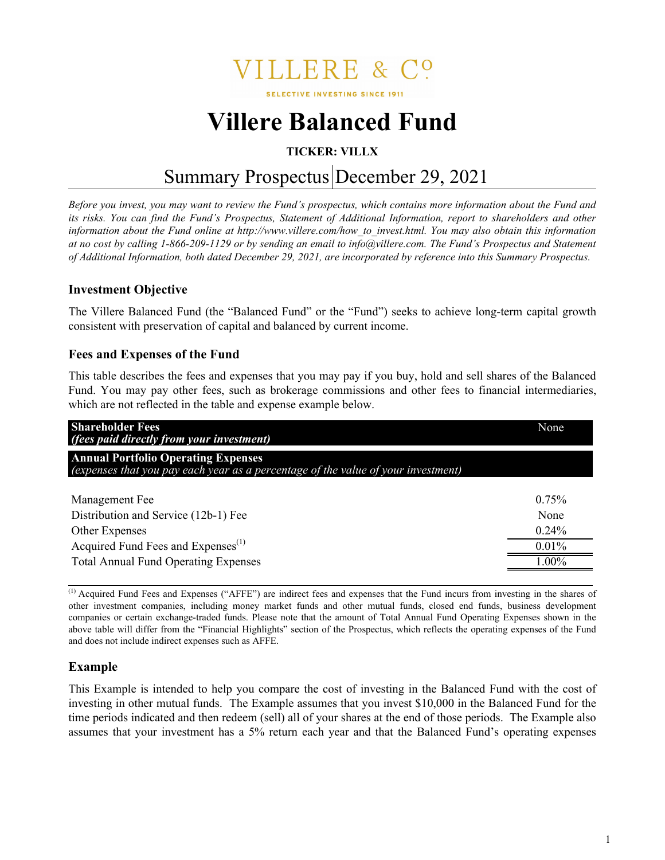**ILLERE &** 

**SELECTIVE INVESTING SINCE 1911** 

# **Villere Balanced Fund**

# **TICKER: VILLX**

# Summary Prospectus December 29, 2021

*Before you invest, you may want to review the Fund's prospectus, which contains more information about the Fund and its risks. You can find the Fund's Prospectus, Statement of Additional Information, report to shareholders and other information about the Fund online at http://www.villere.com/how\_to\_invest.html. You may also obtain this information at no cost by calling 1-866-209-1129 or by sending an email to info@villere.com. The Fund's Prospectus and Statement of Additional Information, both dated December 29, 2021, are incorporated by reference into this Summary Prospectus.*

# **Investment Objective**

The Villere Balanced Fund (the "Balanced Fund" or the "Fund") seeks to achieve long-term capital growth consistent with preservation of capital and balanced by current income.

#### **Fees and Expenses of the Fund**

This table describes the fees and expenses that you may pay if you buy, hold and sell shares of the Balanced Fund. You may pay other fees, such as brokerage commissions and other fees to financial intermediaries, which are not reflected in the table and expense example below.

| <b>Shareholder Fees</b><br>(fees paid directly from your investment)                                                            | None     |
|---------------------------------------------------------------------------------------------------------------------------------|----------|
| <b>Annual Portfolio Operating Expenses</b><br>(expenses that you pay each year as a percentage of the value of your investment) |          |
| Management Fee                                                                                                                  | 0.75%    |
| Distribution and Service (12b-1) Fee                                                                                            | None     |
| Other Expenses                                                                                                                  | $0.24\%$ |
| Acquired Fund Fees and Expenses <sup>(1)</sup>                                                                                  | 0.01%    |
| <b>Total Annual Fund Operating Expenses</b>                                                                                     | $00\%$   |

(1) Acquired Fund Fees and Expenses ("AFFE") are indirect fees and expenses that the Fund incurs from investing in the shares of other investment companies, including money market funds and other mutual funds, closed end funds, business development companies or certain exchange-traded funds. Please note that the amount of Total Annual Fund Operating Expenses shown in the above table will differ from the "Financial Highlights" section of the Prospectus, which reflects the operating expenses of the Fund and does not include indirect expenses such as AFFE.

## **Example**

This Example is intended to help you compare the cost of investing in the Balanced Fund with the cost of investing in other mutual funds. The Example assumes that you invest \$10,000 in the Balanced Fund for the time periods indicated and then redeem (sell) all of your shares at the end of those periods. The Example also assumes that your investment has a 5% return each year and that the Balanced Fund's operating expenses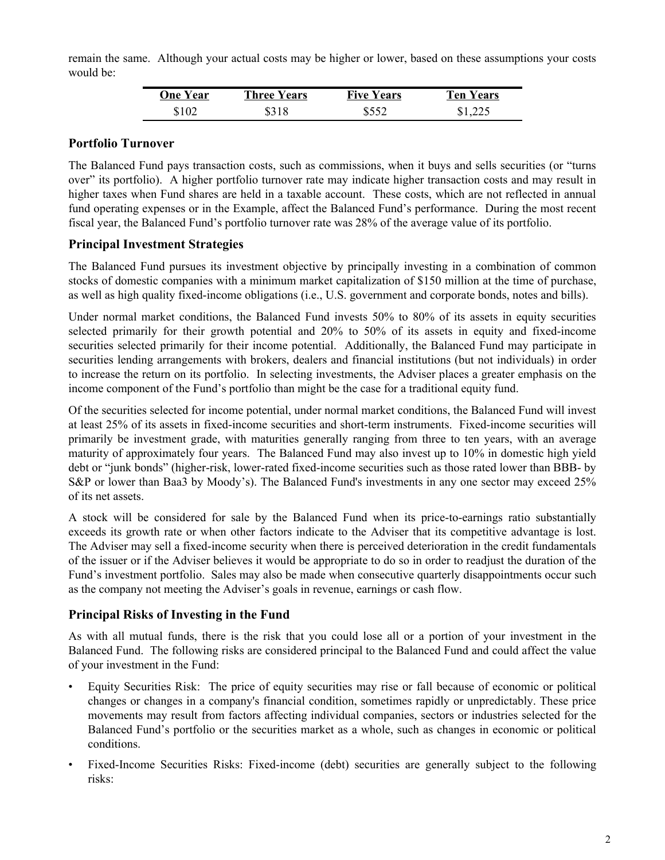remain the same. Although your actual costs may be higher or lower, based on these assumptions your costs would be:

| <b>One Year</b> | <b>Three Years</b> | <b>Five Years</b> | Ten Years |
|-----------------|--------------------|-------------------|-----------|
| \$102           | \$318              | \$552             | \$1,225   |

#### **Portfolio Turnover**

The Balanced Fund pays transaction costs, such as commissions, when it buys and sells securities (or "turns over" its portfolio). A higher portfolio turnover rate may indicate higher transaction costs and may result in higher taxes when Fund shares are held in a taxable account. These costs, which are not reflected in annual fund operating expenses or in the Example, affect the Balanced Fund's performance. During the most recent fiscal year, the Balanced Fund's portfolio turnover rate was 28% of the average value of its portfolio.

# **Principal Investment Strategies**

The Balanced Fund pursues its investment objective by principally investing in a combination of common stocks of domestic companies with a minimum market capitalization of \$150 million at the time of purchase, as well as high quality fixed-income obligations (i.e., U.S. government and corporate bonds, notes and bills).

Under normal market conditions, the Balanced Fund invests 50% to 80% of its assets in equity securities selected primarily for their growth potential and 20% to 50% of its assets in equity and fixed-income securities selected primarily for their income potential. Additionally, the Balanced Fund may participate in securities lending arrangements with brokers, dealers and financial institutions (but not individuals) in order to increase the return on its portfolio. In selecting investments, the Adviser places a greater emphasis on the income component of the Fund's portfolio than might be the case for a traditional equity fund.

Of the securities selected for income potential, under normal market conditions, the Balanced Fund will invest at least 25% of its assets in fixed-income securities and short-term instruments. Fixed-income securities will primarily be investment grade, with maturities generally ranging from three to ten years, with an average maturity of approximately four years. The Balanced Fund may also invest up to 10% in domestic high yield debt or "junk bonds" (higher-risk, lower-rated fixed-income securities such as those rated lower than BBB- by S&P or lower than Baa3 by Moody's). The Balanced Fund's investments in any one sector may exceed 25% of its net assets.

A stock will be considered for sale by the Balanced Fund when its price-to-earnings ratio substantially exceeds its growth rate or when other factors indicate to the Adviser that its competitive advantage is lost. The Adviser may sell a fixed-income security when there is perceived deterioration in the credit fundamentals of the issuer or if the Adviser believes it would be appropriate to do so in order to readjust the duration of the Fund's investment portfolio. Sales may also be made when consecutive quarterly disappointments occur such as the company not meeting the Adviser's goals in revenue, earnings or cash flow.

## **Principal Risks of Investing in the Fund**

As with all mutual funds, there is the risk that you could lose all or a portion of your investment in the Balanced Fund. The following risks are considered principal to the Balanced Fund and could affect the value of your investment in the Fund:

- Equity Securities Risk: The price of equity securities may rise or fall because of economic or political changes or changes in a company's financial condition, sometimes rapidly or unpredictably. These price movements may result from factors affecting individual companies, sectors or industries selected for the Balanced Fund's portfolio or the securities market as a whole, such as changes in economic or political conditions.
- Fixed-Income Securities Risks: Fixed-income (debt) securities are generally subject to the following risks: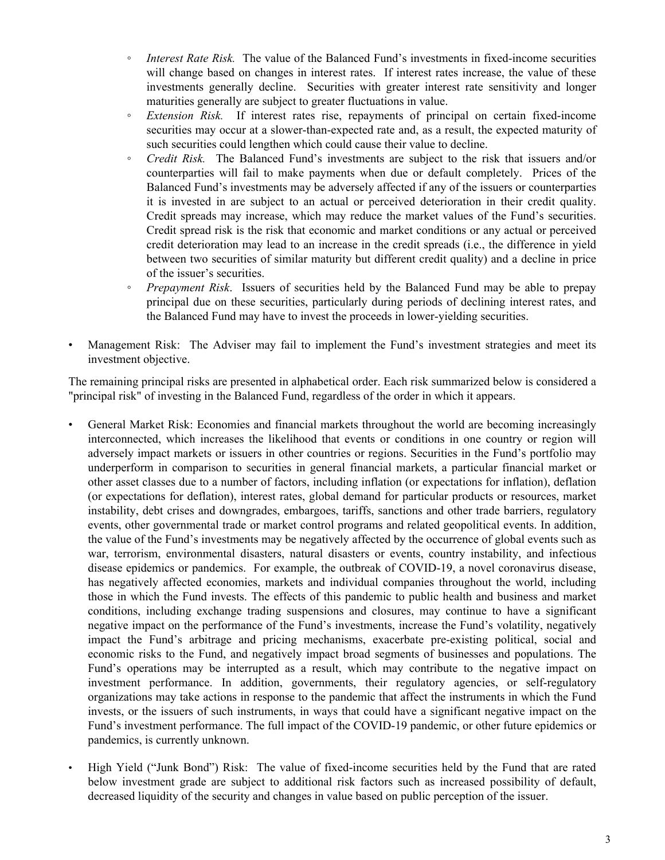- *Interest Rate Risk.* The value of the Balanced Fund's investments in fixed-income securities will change based on changes in interest rates. If interest rates increase, the value of these investments generally decline. Securities with greater interest rate sensitivity and longer maturities generally are subject to greater fluctuations in value.
- *Extension Risk.* If interest rates rise, repayments of principal on certain fixed-income securities may occur at a slower-than-expected rate and, as a result, the expected maturity of such securities could lengthen which could cause their value to decline.
- *Credit Risk.* The Balanced Fund's investments are subject to the risk that issuers and/or counterparties will fail to make payments when due or default completely. Prices of the Balanced Fund's investments may be adversely affected if any of the issuers or counterparties it is invested in are subject to an actual or perceived deterioration in their credit quality. Credit spreads may increase, which may reduce the market values of the Fund's securities. Credit spread risk is the risk that economic and market conditions or any actual or perceived credit deterioration may lead to an increase in the credit spreads (i.e., the difference in yield between two securities of similar maturity but different credit quality) and a decline in price of the issuer's securities.
- *Prepayment Risk*. Issuers of securities held by the Balanced Fund may be able to prepay principal due on these securities, particularly during periods of declining interest rates, and the Balanced Fund may have to invest the proceeds in lower-yielding securities.
- Management Risk: The Adviser may fail to implement the Fund's investment strategies and meet its investment objective.

The remaining principal risks are presented in alphabetical order. Each risk summarized below is considered a "principal risk" of investing in the Balanced Fund, regardless of the order in which it appears.

- General Market Risk: Economies and financial markets throughout the world are becoming increasingly interconnected, which increases the likelihood that events or conditions in one country or region will adversely impact markets or issuers in other countries or regions. Securities in the Fund's portfolio may underperform in comparison to securities in general financial markets, a particular financial market or other asset classes due to a number of factors, including inflation (or expectations for inflation), deflation (or expectations for deflation), interest rates, global demand for particular products or resources, market instability, debt crises and downgrades, embargoes, tariffs, sanctions and other trade barriers, regulatory events, other governmental trade or market control programs and related geopolitical events. In addition, the value of the Fund's investments may be negatively affected by the occurrence of global events such as war, terrorism, environmental disasters, natural disasters or events, country instability, and infectious disease epidemics or pandemics. For example, the outbreak of COVID-19, a novel coronavirus disease, has negatively affected economies, markets and individual companies throughout the world, including those in which the Fund invests. The effects of this pandemic to public health and business and market conditions, including exchange trading suspensions and closures, may continue to have a significant negative impact on the performance of the Fund's investments, increase the Fund's volatility, negatively impact the Fund's arbitrage and pricing mechanisms, exacerbate pre-existing political, social and economic risks to the Fund, and negatively impact broad segments of businesses and populations. The Fund's operations may be interrupted as a result, which may contribute to the negative impact on investment performance. In addition, governments, their regulatory agencies, or self-regulatory organizations may take actions in response to the pandemic that affect the instruments in which the Fund invests, or the issuers of such instruments, in ways that could have a significant negative impact on the Fund's investment performance. The full impact of the COVID-19 pandemic, or other future epidemics or pandemics, is currently unknown.
- High Yield ("Junk Bond") Risk: The value of fixed-income securities held by the Fund that are rated below investment grade are subject to additional risk factors such as increased possibility of default, decreased liquidity of the security and changes in value based on public perception of the issuer.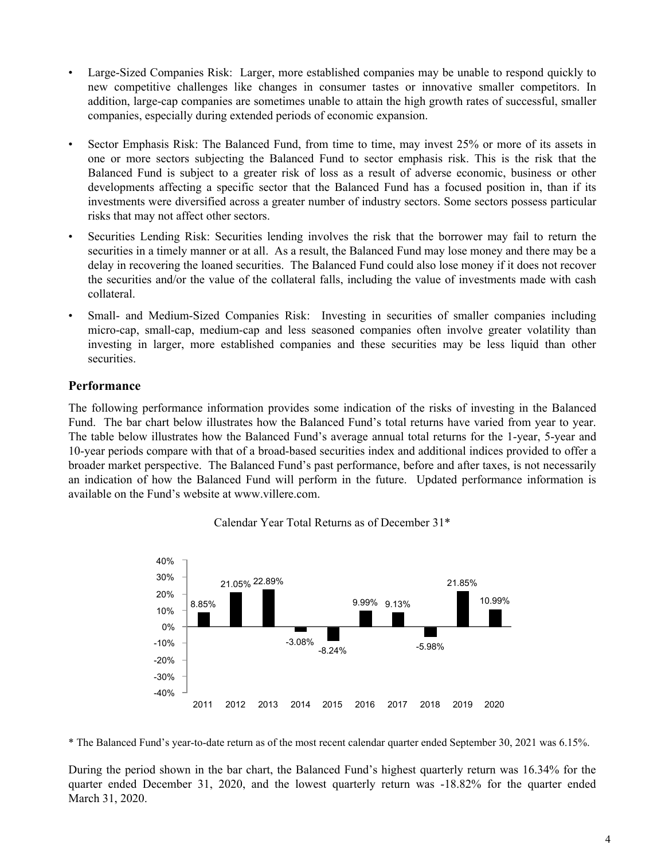- Large-Sized Companies Risk: Larger, more established companies may be unable to respond quickly to new competitive challenges like changes in consumer tastes or innovative smaller competitors. In addition, large-cap companies are sometimes unable to attain the high growth rates of successful, smaller companies, especially during extended periods of economic expansion.
- Sector Emphasis Risk: The Balanced Fund, from time to time, may invest 25% or more of its assets in one or more sectors subjecting the Balanced Fund to sector emphasis risk. This is the risk that the Balanced Fund is subject to a greater risk of loss as a result of adverse economic, business or other developments affecting a specific sector that the Balanced Fund has a focused position in, than if its investments were diversified across a greater number of industry sectors. Some sectors possess particular risks that may not affect other sectors.
- Securities Lending Risk: Securities lending involves the risk that the borrower may fail to return the securities in a timely manner or at all. As a result, the Balanced Fund may lose money and there may be a delay in recovering the loaned securities. The Balanced Fund could also lose money if it does not recover the securities and/or the value of the collateral falls, including the value of investments made with cash collateral.
- Small- and Medium-Sized Companies Risk: Investing in securities of smaller companies including micro-cap, small-cap, medium-cap and less seasoned companies often involve greater volatility than investing in larger, more established companies and these securities may be less liquid than other securities.

# **Performance**

The following performance information provides some indication of the risks of investing in the Balanced Fund. The bar chart below illustrates how the Balanced Fund's total returns have varied from year to year. The table below illustrates how the Balanced Fund's average annual total returns for the 1-year, 5-year and 10-year periods compare with that of a broad-based securities index and additional indices provided to offer a broader market perspective. The Balanced Fund's past performance, before and after taxes, is not necessarily an indication of how the Balanced Fund will perform in the future. Updated performance information is available on the Fund's website at www.villere.com.



Calendar Year Total Returns as of December 31\*

\* The Balanced Fund's year-to-date return as of the most recent calendar quarter ended September 30, 2021 was 6.15%.

During the period shown in the bar chart, the Balanced Fund's highest quarterly return was 16.34% for the quarter ended December 31, 2020, and the lowest quarterly return was -18.82% for the quarter ended March 31, 2020.